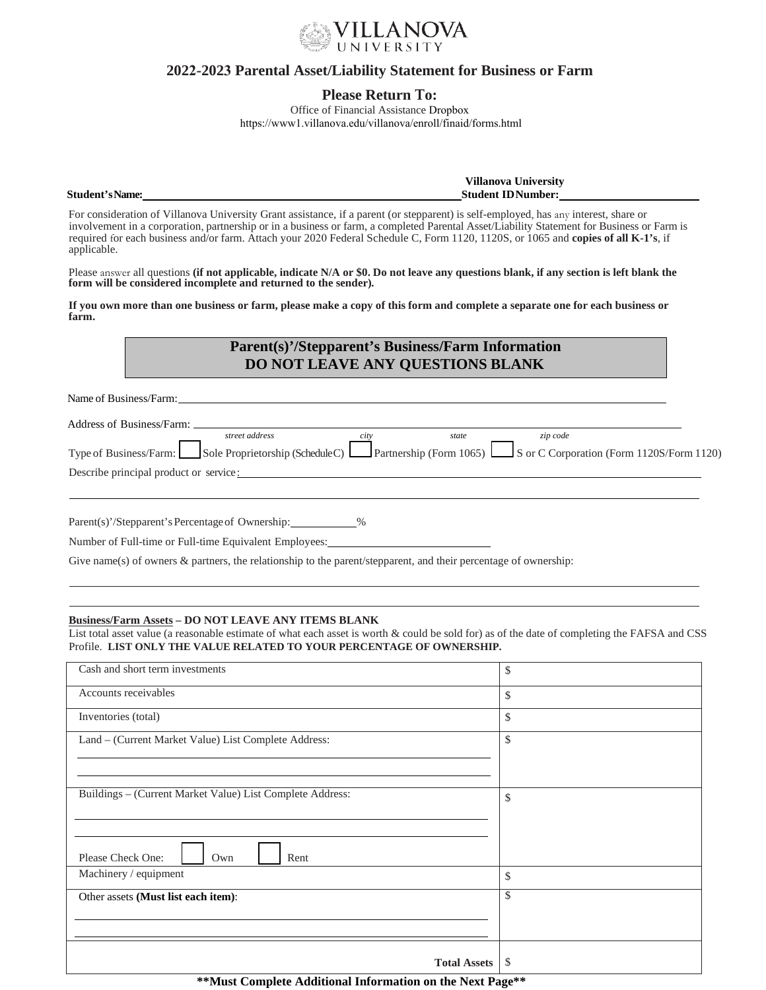

## **2022-2023 Parental Asset/Liability Statement for Business or Farm**

## **Please Return To:**

Office of Financial Assistance Dropbox https://www1.villanova.edu/villanova/enroll/finaid/forms.html

**Villanova University Student'sName: Student IDNumber:** 

For consideration of Villanova University Grant assistance, if a parent (or stepparent) is self-employed, has any interest, share or involvement in a corporation, partnership or in a business or farm, a completed Parental Asset/Liability Statement for Business or Farm is required for each business and/or farm. Attach your 2020 Federal Schedule C, Form 1120, 1120S, or 1065 and **copies of all K-1's**, if applicable.

Please answer all questions **(if not applicable, indicate N/A or \$0. Do not leave any questions blank, if any section is left blank the form will be considered incomplete and returned to the sender).**

**If you own more than one business or farm, please make a copy of this form and complete a separate one for each business or farm.**

# **Parent(s)'/Stepparent's Business/Farm Information DO NOT LEAVE ANY QUESTIONS BLANK**

Name of Business/Farm:

| Address of Business/Farm:              |                                                                                                                          |       |          |  |
|----------------------------------------|--------------------------------------------------------------------------------------------------------------------------|-------|----------|--|
|                                        | street address                                                                                                           | state | zip code |  |
|                                        | Type of Business/Farm: Sole Proprietorship (Schedule C) Partnership (Form 1065) Sor C Corporation (Form 1120S/Form 1120) |       |          |  |
| Describe principal product or service: |                                                                                                                          |       |          |  |

Parent(s)'/Stepparent's Percentage of Ownership: \_\_\_\_\_\_\_\_\_\_\_%

Number of Full-time or Full-time Equivalent Employees:

Give name(s) of owners & partners, the relationship to the parent/stepparent, and their percentage of ownership:

### **Business/Farm Assets – DO NOT LEAVE ANY ITEMS BLANK**

List total asset value (a reasonable estimate of what each asset is worth & could be sold for) as of the date of completing the FAFSA and CSS Profile. **LIST ONLY THE VALUE RELATED TO YOUR PERCENTAGE OF OWNERSHIP.**

| Cash and short term investments                           | \$ |
|-----------------------------------------------------------|----|
| Accounts receivables                                      | \$ |
| Inventories (total)                                       | \$ |
| Land - (Current Market Value) List Complete Address:      | \$ |
|                                                           |    |
| Buildings - (Current Market Value) List Complete Address: |    |
|                                                           | \$ |
|                                                           |    |
| Please Check One:<br>Rent<br>Own                          |    |
| Machinery / equipment                                     | \$ |
| Other assets (Must list each item):                       | \$ |
|                                                           |    |
|                                                           |    |
| <b>Total Assets</b>                                       | \$ |
|                                                           |    |

**\*\*Must Complete Additional Information on the Next Page\*\***